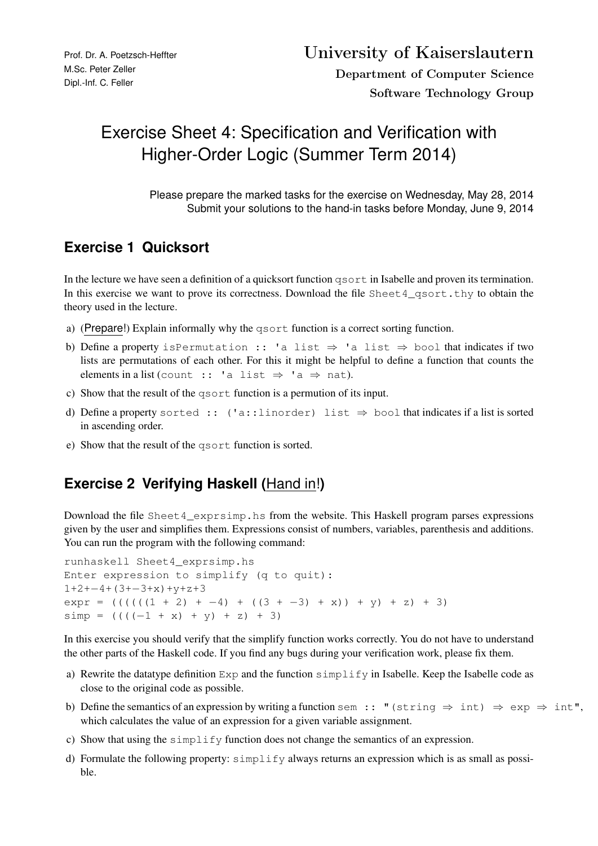## Exercise Sheet 4: Specification and Verification with Higher-Order Logic (Summer Term 2014)

Please prepare the marked tasks for the exercise on Wednesday, May 28, 2014 Submit your solutions to the hand-in tasks before Monday, June 9, 2014

## **Exercise 1 Quicksort**

In the lecture we have seen a definition of a quicksort function qsort in Isabelle and proven its termination. In this exercise we want to prove its correctness. Download the file Sheet 4\_qsort.thy to obtain the theory used in the lecture.

- a) (Prepare!) Explain informally why the qsort function is a correct sorting function.
- b) Define a property isPermutation :: 'a list  $\Rightarrow$  'a list  $\Rightarrow$  bool that indicates if two lists are permutations of each other. For this it might be helpful to define a function that counts the elements in a list (count :: 'a list  $\Rightarrow$  'a  $\Rightarrow$  nat).
- c) Show that the result of the qsort function is a permution of its input.
- d) Define a property sorted :: ('a::linorder) list  $\Rightarrow$  bool that indicates if a list is sorted in ascending order.
- e) Show that the result of the qsort function is sorted.

## **Exercise 2 Verifying Haskell (**Hand in!**)**

Download the file Sheet4\_exprsimp.hs from the website. This Haskell program parses expressions given by the user and simplifies them. Expressions consist of numbers, variables, parenthesis and additions. You can run the program with the following command:

```
runhaskell Sheet4_exprsimp.hs
Enter expression to simplify (q to quit):
1+2+−4+(3+−3+x)+y+z+3
exp r = (((((1 + 2) + -4) + ((3 + -3) + x)) + y) + z) + 3)simp = ((((-1 + x) + y) + z) + 3)
```
In this exercise you should verify that the simplify function works correctly. You do not have to understand the other parts of the Haskell code. If you find any bugs during your verification work, please fix them.

- a) Rewrite the datatype definition Exp and the function simplify in Isabelle. Keep the Isabelle code as close to the original code as possible.
- b) Define the semantics of an expression by writing a function sem :: "(string  $\Rightarrow$  int)  $\Rightarrow$  exp  $\Rightarrow$  int", which calculates the value of an expression for a given variable assignment.
- c) Show that using the simplify function does not change the semantics of an expression.
- d) Formulate the following property: simplify always returns an expression which is as small as possible.